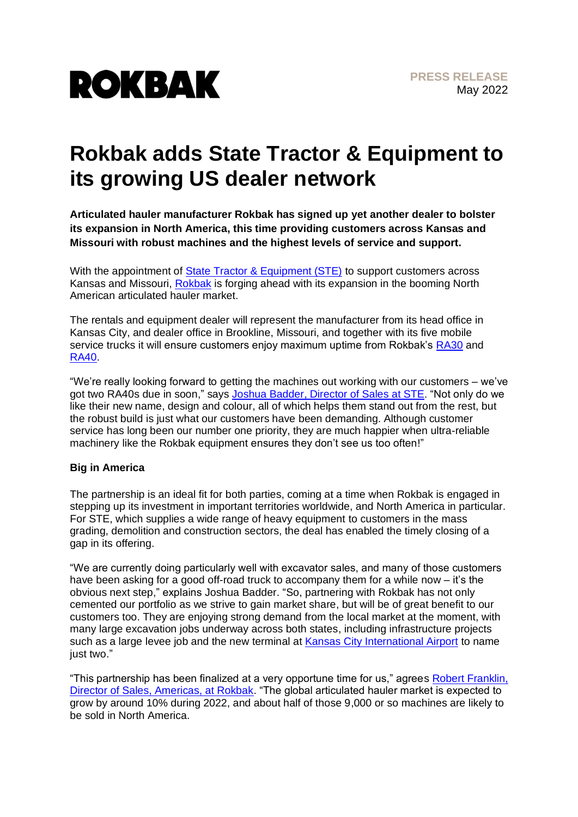

## **Rokbak adds State Tractor & Equipment to its growing US dealer network**

**Articulated hauler manufacturer Rokbak has signed up yet another dealer to bolster its expansion in North America, this time providing customers across Kansas and Missouri with robust machines and the highest levels of service and support.**

With the appointment of [State Tractor & Equipment \(STE\)](https://ste-equipment.com/working-with-us) to support customers across Kansas and Missouri, [Rokbak](https://rokbak.com/) is forging ahead with its expansion in the booming North American articulated hauler market.

The rentals and equipment dealer will represent the manufacturer from its head office in Kansas City, and dealer office in Brookline, Missouri, and together with its five mobile service trucks it will ensure customers enjoy maximum uptime from Rokbak's [RA30](https://rokbak.com/ra30/) and [RA40.](https://rokbak.com/ra40/)

"We're really looking forward to getting the machines out working with our customers – we've got two RA40s due in soon," says Joshua Badder, [Director of Sales](https://ste-equipment.com/working-with-us/) at STE. "Not only do we like their new name, design and colour, all of which helps them stand out from the rest, but the robust build is just what our customers have been demanding. Although customer service has long been our number one priority, they are much happier when ultra-reliable machinery like the Rokbak equipment ensures they don't see us too often!"

## **Big in America**

The partnership is an ideal fit for both parties, coming at a time when Rokbak is engaged in stepping up its investment in important territories worldwide, and North America in particular. For STE, which supplies a wide range of heavy equipment to customers in the mass grading, demolition and construction sectors, the deal has enabled the timely closing of a gap in its offering.

"We are currently doing particularly well with excavator sales, and many of those customers have been asking for a good off-road truck to accompany them for a while now – it's the obvious next step," explains Joshua Badder. "So, partnering with Rokbak has not only cemented our portfolio as we strive to gain market share, but will be of great benefit to our customers too. They are enjoying strong demand from the local market at the moment, with many large excavation jobs underway across both states, including infrastructure projects such as a large levee job and the new terminal at [Kansas City International Airport](https://www.flykci.com/) to name just two."

"This partnership has been finalized at a very opportune time for us," agrees Robert Franklin, [Director of Sales, Americas, at Rokbak.](https://www.linkedin.com/in/robert-franklin-3b66a46/) "The global articulated hauler market is expected to grow by around 10% during 2022, and about half of those 9,000 or so machines are likely to be sold in North America.